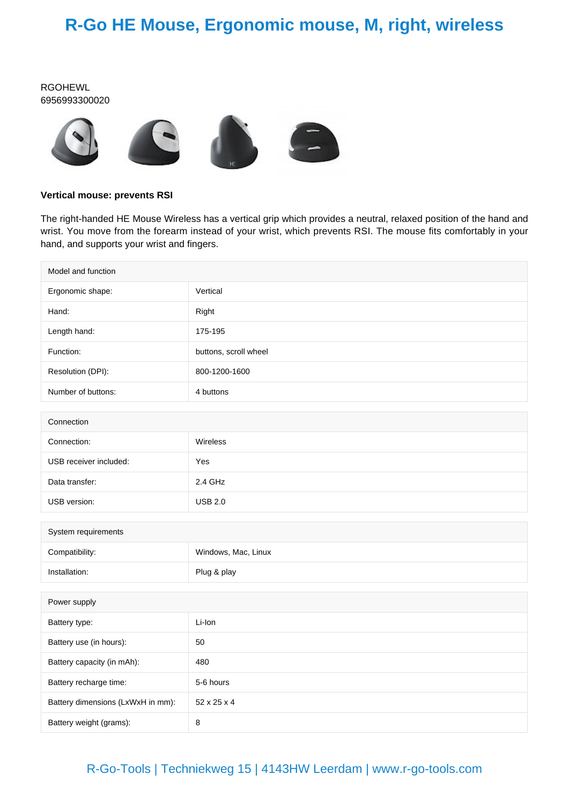## **R-Go HE Mouse, Ergonomic mouse, M, right, wireless**

#### RGOHEWL 6956993300020



#### **Vertical mouse: prevents RSI**

The right-handed HE Mouse Wireless has a vertical grip which provides a neutral, relaxed position of the hand and wrist. You move from the forearm instead of your wrist, which prevents RSI. The mouse fits comfortably in your hand, and supports your wrist and fingers.

| Model and function                |                       |  |
|-----------------------------------|-----------------------|--|
| Ergonomic shape:                  | Vertical              |  |
| Hand:                             | Right                 |  |
| Length hand:                      | 175-195               |  |
| Function:                         | buttons, scroll wheel |  |
| Resolution (DPI):                 | 800-1200-1600         |  |
| Number of buttons:                | 4 buttons             |  |
|                                   |                       |  |
| Connection                        |                       |  |
| Connection:                       | Wireless              |  |
| USB receiver included:            | Yes                   |  |
| Data transfer:                    | 2.4 GHz               |  |
| USB version:                      | <b>USB 2.0</b>        |  |
|                                   |                       |  |
| System requirements               |                       |  |
| Compatibility:                    | Windows, Mac, Linux   |  |
| Installation:                     | Plug & play           |  |
|                                   |                       |  |
| Power supply                      |                       |  |
| Battery type:                     | Li-Ion                |  |
| Battery use (in hours):           | 50                    |  |
| Battery capacity (in mAh):        | 480                   |  |
| Battery recharge time:            | 5-6 hours             |  |
| Battery dimensions (LxWxH in mm): | 52 x 25 x 4           |  |
| Battery weight (grams):           | 8                     |  |

### R-Go-Tools | Techniekweg 15 | 4143HW Leerdam | www.r-go-tools.com